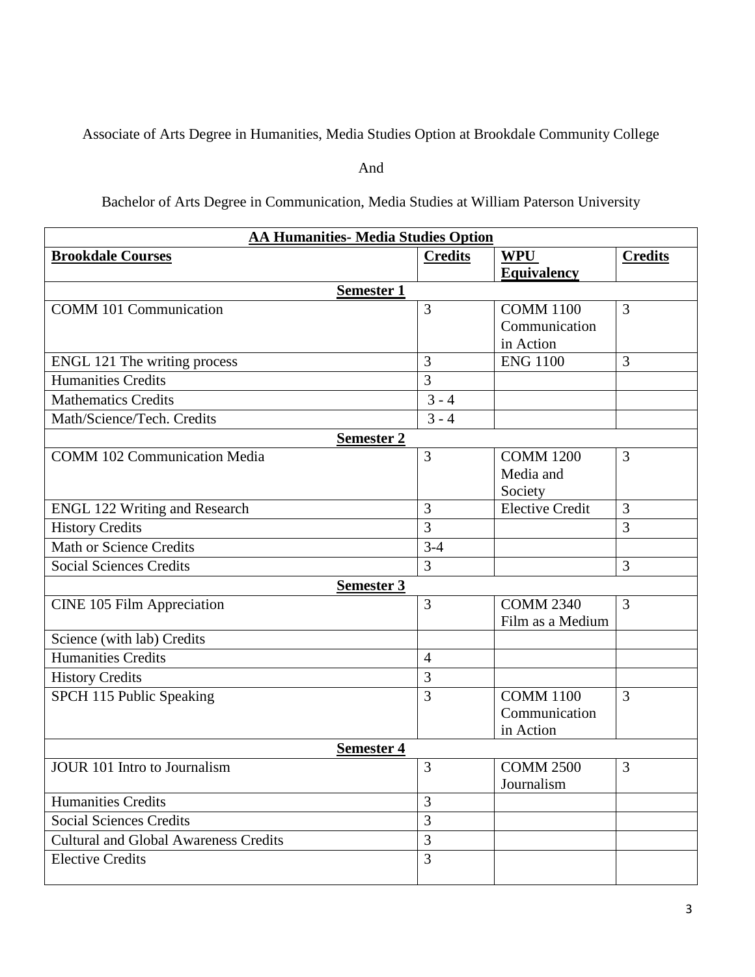Associate of Arts Degree in Humanities, Media Studies Option at Brookdale Community College

And

## Bachelor of Arts Degree in Communication, Media Studies at William Paterson University

| <b>AA Humanities- Media Studies Option</b>   |                |                        |                |  |  |
|----------------------------------------------|----------------|------------------------|----------------|--|--|
| <b>Brookdale Courses</b>                     | <b>Credits</b> | <b>WPU</b>             | <b>Credits</b> |  |  |
|                                              |                | <b>Equivalency</b>     |                |  |  |
| <b>Semester 1</b>                            |                |                        |                |  |  |
| <b>COMM 101 Communication</b>                | 3              | <b>COMM 1100</b>       | 3              |  |  |
|                                              |                | Communication          |                |  |  |
|                                              |                | in Action              |                |  |  |
| ENGL 121 The writing process                 | 3              | <b>ENG 1100</b>        | 3              |  |  |
| <b>Humanities Credits</b>                    | $\overline{3}$ |                        |                |  |  |
| <b>Mathematics Credits</b>                   | $3 - 4$        |                        |                |  |  |
| Math/Science/Tech. Credits                   | $3 - 4$        |                        |                |  |  |
| <b>Semester 2</b>                            |                |                        |                |  |  |
| <b>COMM 102 Communication Media</b>          | 3              | <b>COMM 1200</b>       | 3              |  |  |
|                                              |                | Media and              |                |  |  |
|                                              |                | Society                |                |  |  |
| <b>ENGL 122 Writing and Research</b>         | 3              | <b>Elective Credit</b> | 3              |  |  |
| <b>History Credits</b>                       | $\overline{3}$ |                        | 3              |  |  |
| <b>Math or Science Credits</b>               | $3-4$          |                        |                |  |  |
| <b>Social Sciences Credits</b>               | 3              |                        | 3              |  |  |
| <b>Semester 3</b>                            |                |                        |                |  |  |
| <b>CINE 105 Film Appreciation</b>            | 3              | <b>COMM 2340</b>       | $\overline{3}$ |  |  |
|                                              |                | Film as a Medium       |                |  |  |
| Science (with lab) Credits                   |                |                        |                |  |  |
| <b>Humanities Credits</b>                    | $\overline{4}$ |                        |                |  |  |
| <b>History Credits</b>                       | 3              |                        |                |  |  |
| SPCH 115 Public Speaking                     | 3              | <b>COMM 1100</b>       | 3              |  |  |
|                                              |                | Communication          |                |  |  |
|                                              |                | in Action              |                |  |  |
| <b>Semester 4</b>                            |                |                        |                |  |  |
| <b>JOUR 101 Intro to Journalism</b>          | 3              | <b>COMM 2500</b>       | 3              |  |  |
|                                              |                | Journalism             |                |  |  |
| <b>Humanities Credits</b>                    | 3              |                        |                |  |  |
| <b>Social Sciences Credits</b>               | 3              |                        |                |  |  |
| <b>Cultural and Global Awareness Credits</b> | $\overline{3}$ |                        |                |  |  |
| <b>Elective Credits</b>                      | 3              |                        |                |  |  |
|                                              |                |                        |                |  |  |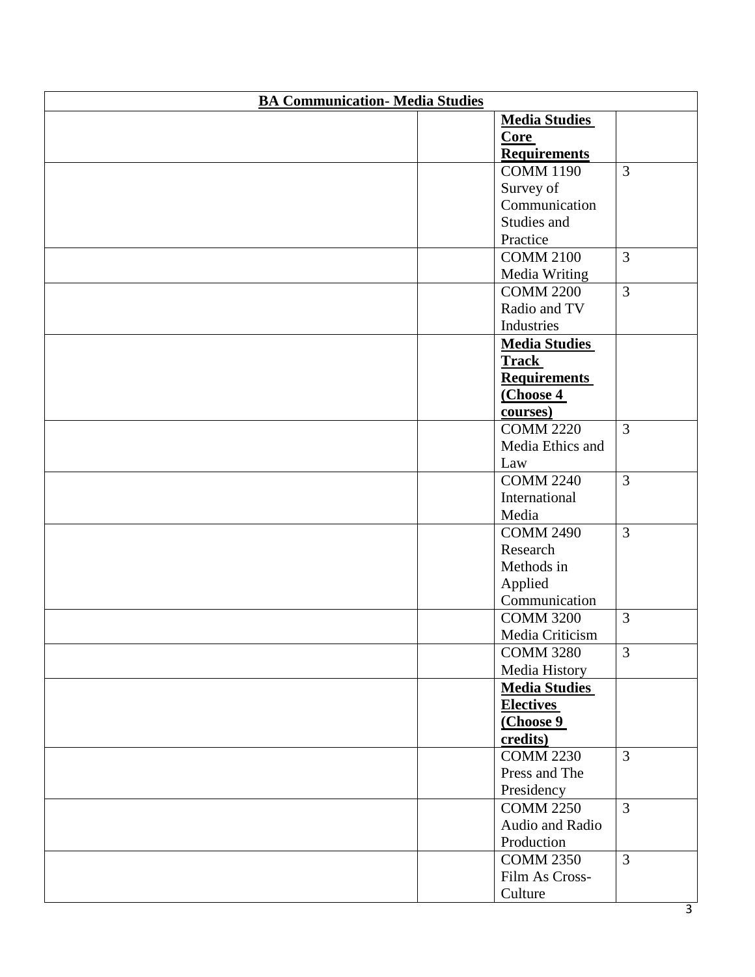| <b>BA Communication- Media Studies</b> |                      |                |  |  |
|----------------------------------------|----------------------|----------------|--|--|
|                                        | <b>Media Studies</b> |                |  |  |
|                                        | <b>Core</b>          |                |  |  |
|                                        | <b>Requirements</b>  |                |  |  |
|                                        | <b>COMM 1190</b>     | $\overline{3}$ |  |  |
|                                        | Survey of            |                |  |  |
|                                        | Communication        |                |  |  |
|                                        | Studies and          |                |  |  |
|                                        | Practice             |                |  |  |
|                                        | <b>COMM 2100</b>     | $\overline{3}$ |  |  |
|                                        | Media Writing        |                |  |  |
|                                        | <b>COMM 2200</b>     | $\overline{3}$ |  |  |
|                                        | Radio and TV         |                |  |  |
|                                        | Industries           |                |  |  |
|                                        | <b>Media Studies</b> |                |  |  |
|                                        | <b>Track</b>         |                |  |  |
|                                        | <b>Requirements</b>  |                |  |  |
|                                        | (Choose 4            |                |  |  |
|                                        | courses)             |                |  |  |
|                                        | <b>COMM 2220</b>     | $\overline{3}$ |  |  |
|                                        | Media Ethics and     |                |  |  |
|                                        | Law                  |                |  |  |
|                                        | <b>COMM 2240</b>     | $\overline{3}$ |  |  |
|                                        | International        |                |  |  |
|                                        | Media                |                |  |  |
|                                        | <b>COMM 2490</b>     | $\overline{3}$ |  |  |
|                                        | Research             |                |  |  |
|                                        | Methods in           |                |  |  |
|                                        | Applied              |                |  |  |
|                                        | Communication        |                |  |  |
|                                        | <b>COMM 3200</b>     | $\overline{3}$ |  |  |
|                                        | Media Criticism      |                |  |  |
|                                        | <b>COMM 3280</b>     | $\overline{3}$ |  |  |
|                                        | Media History        |                |  |  |
|                                        | <b>Media Studies</b> |                |  |  |
|                                        | <b>Electives</b>     |                |  |  |
|                                        | (Choose 9            |                |  |  |
|                                        | credits)             |                |  |  |
|                                        | <b>COMM 2230</b>     | 3              |  |  |
|                                        | Press and The        |                |  |  |
|                                        | Presidency           |                |  |  |
|                                        | <b>COMM 2250</b>     | $\overline{3}$ |  |  |
|                                        | Audio and Radio      |                |  |  |
|                                        | Production           |                |  |  |
|                                        | <b>COMM 2350</b>     | $\overline{3}$ |  |  |
|                                        | Film As Cross-       |                |  |  |
|                                        | Culture              |                |  |  |